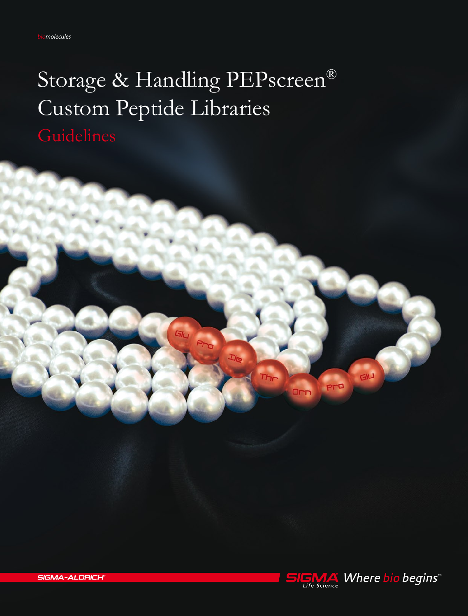# Storage & Handling PEPscreen® Custom Peptide Libraries



GIL

Pro

**SIGMA-ALDRICH®**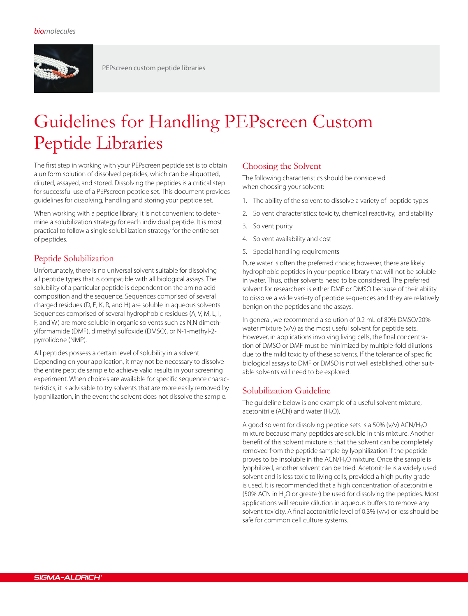

# Guidelines for Handling PEPscreen Custom Peptide Libraries

The first step in working with your PEPscreen peptide set is to obtain a uniform solution of dissolved peptides, which can be aliquotted, diluted, assayed, and stored. Dissolving the peptides is a critical step for successful use of a PEPscreen peptide set. This document provides guidelines for dissolving, handling and storing your peptide set.

When working with a peptide library, it is not convenient to determine a solubilization strategy for each individual peptide. It is most practical to follow a single solubilization strategy for the entire set of peptides.

# Peptide Solubilization

Unfortunately, there is no universal solvent suitable for dissolving all peptide types that is compatible with all biological assays. The solubility of a particular peptide is dependent on the amino acid composition and the sequence. Sequences comprised of several charged residues (D, E, K, R, and H) are soluble in aqueous solvents. Sequences comprised of several hydrophobic residues (A, V, M, L, I, F, and W) are more soluble in organic solvents such as N,N dimethylformamide (DMF), dimethyl sulfoxide (DMSO), or N-1-methyl-2 pyrrolidone (NMP).

All peptides possess a certain level of solubility in a solvent. Depending on your application, it may not be necessary to dissolve the entire peptide sample to achieve valid results in your screening experiment. When choices are available for specific sequence characteristics, it is advisable to try solvents that are more easily removed by lyophilization, in the event the solvent does not dissolve the sample.

# Choosing the Solvent

The following characteristics should be considered when choosing your solvent:

- 1. The ability of the solvent to dissolve a variety of peptide types
- 2. Solvent characteristics: toxicity, chemical reactivity, and stability
- 3. Solvent purity
- 4. Solvent availability and cost
- 5. Special handling requirements

Pure water is often the preferred choice; however, there are likely hydrophobic peptides in your peptide library that will not be soluble in water. Thus, other solvents need to be considered. The preferred solvent for researchers is either DMF or DMSO because of their ability to dissolve a wide variety of peptide sequences and they are relatively benign on the peptides and the assays.

In general, we recommend a solution of 0.2 mL of 80% DMSO/20% water mixture (v/v) as the most useful solvent for peptide sets. However, in applications involving living cells, the final concentration of DMSO or DMF must be minimized by multiple-fold dilutions due to the mild toxicity of these solvents. If the tolerance of specific biological assays to DMF or DMSO is not well established, other suitable solvents will need to be explored.

# Solubilization Guideline

The guideline below is one example of a useful solvent mixture, acetonitrile (ACN) and water  $(H<sub>2</sub>O)$ .

A good solvent for dissolving peptide sets is a 50% ( $v/v$ ) ACN/H<sub>2</sub>O mixture because many peptides are soluble in this mixture. Another benefit of this solvent mixture is that the solvent can be completely removed from the peptide sample by lyophilization if the peptide proves to be insoluble in the ACN/H<sub>2</sub>O mixture. Once the sample is lyophilized, another solvent can be tried. Acetonitrile is a widely used solvent and is less toxic to living cells, provided a high purity grade is used. It is recommended that a high concentration of acetonitrile (50% ACN in  $H_2O$  or greater) be used for dissolving the peptides. Most applications will require dilution in aqueous buffers to remove any solvent toxicity. A final acetonitrile level of 0.3% (v/v) or less should be safe for common cell culture systems.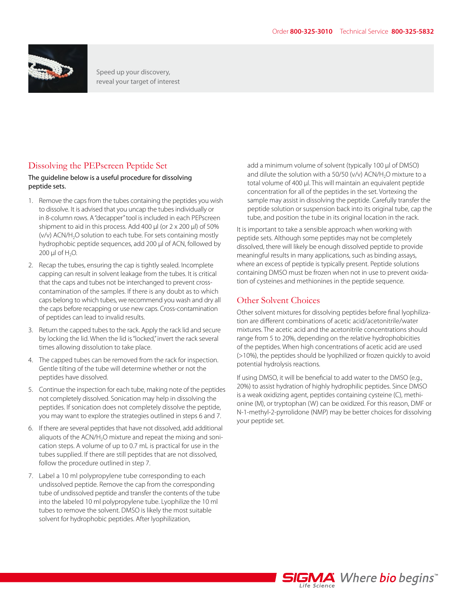

Speed up your discovery, reveal your target of interest

#### Dissolving the PEPscreen Peptide Set

#### The guideline below is a useful procedure for dissolving peptide sets.

- 1. Remove the caps from the tubes containing the peptides you wish to dissolve. It is advised that you uncap the tubes individually or in 8-column rows. A "decapper" tool is included in each PEPscreen shipment to aid in this process. Add 400 µl (or 2 x 200 µl) of 50% (v/v) ACN/H<sub>2</sub>O solution to each tube. For sets containing mostly hydrophobic peptide sequences, add 200 µl of ACN, followed by 200  $\mu$ l of H<sub>2</sub>O.
- 2. Recap the tubes, ensuring the cap is tightly sealed. Incomplete capping can result in solvent leakage from the tubes. It is critical that the caps and tubes not be interchanged to prevent crosscontamination of the samples. If there is any doubt as to which caps belong to which tubes, we recommend you wash and dry all the caps before recapping or use new caps. Cross-contamination of peptides can lead to invalid results.
- 3. Return the capped tubes to the rack. Apply the rack lid and secure by locking the lid. When the lid is "locked," invert the rack several times allowing dissolution to take place.
- 4. The capped tubes can be removed from the rack for inspection. Gentle tilting of the tube will determine whether or not the peptides have dissolved.
- 5. Continue the inspection for each tube, making note of the peptides not completely dissolved. Sonication may help in dissolving the peptides. If sonication does not completely dissolve the peptide, you may want to explore the strategies outlined in steps 6 and 7.
- 6. If there are several peptides that have not dissolved, add additional aliquots of the ACN/H<sub>2</sub>O mixture and repeat the mixing and sonication steps. A volume of up to 0.7 mL is practical for use in the tubes supplied. If there are still peptides that are not dissolved, follow the procedure outlined in step 7.
- 7. Label a 10 ml polypropylene tube corresponding to each undissolved peptide. Remove the cap from the corresponding tube of undissolved peptide and transfer the contents of the tube into the labeled 10 ml polypropylene tube. Lyophilize the 10 ml tubes to remove the solvent. DMSO is likely the most suitable solvent for hydrophobic peptides. After lyophilization,

add a minimum volume of solvent (typically 100 µl of DMSO) and dilute the solution with a 50/50 (v/v) ACN/H<sub>2</sub>O mixture to a total volume of 400 µl. This will maintain an equivalent peptide concentration for all of the peptides in the set. Vortexing the sample may assist in dissolving the peptide. Carefully transfer the peptide solution or suspension back into its original tube, cap the tube, and position the tube in its original location in the rack.

It is important to take a sensible approach when working with peptide sets. Although some peptides may not be completely dissolved, there will likely be enough dissolved peptide to provide meaningful results in many applications, such as binding assays, where an excess of peptide is typically present. Peptide solutions containing DMSO must be frozen when not in use to prevent oxidation of cysteines and methionines in the peptide sequence.

### Other Solvent Choices

Other solvent mixtures for dissolving peptides before final lyophilization are different combinations of acetic acid/acetonitrile/water mixtures. The acetic acid and the acetonitrile concentrations should range from 5 to 20%, depending on the relative hydrophobicities of the peptides. When high concentrations of acetic acid are used (>10%), the peptides should be lyophilized or frozen quickly to avoid potential hydrolysis reactions.

If using DMSO, it will be beneficial to add water to the DMSO (e.g., 20%) to assist hydration of highly hydrophilic peptides. Since DMSO is a weak oxidizing agent, peptides containing cysteine (C), methionine (M), or tryptophan (W) can be oxidized. For this reason, DMF or N-1-methyl-2-pyrrolidone (NMP) may be better choices for dissolving your peptide set.